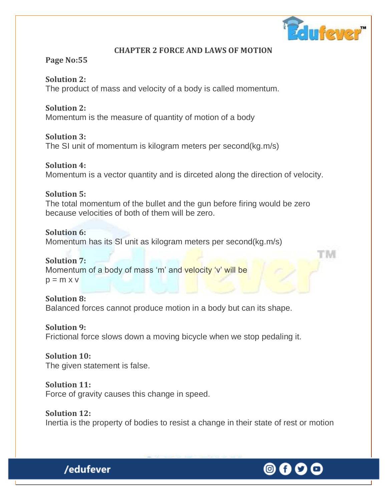

l' IVII

## **CHAPTER 2 FORCE AND LAWS OF MOTION**

## **Page No:55**

**Solution 2:** The product of mass and velocity of a body is called momentum.

**Solution 2:**

Momentum is the measure of quantity of motion of a body

**Solution 3:**

The SI unit of momentum is kilogram meters per second(kg.m/s)

**Solution 4:** Momentum is a vector quantity and is dirceted along the direction of velocity.

## **Solution 5:**

The total momentum of the bullet and the gun before firing would be zero because velocities of both of them will be zero.

## **Solution 6:**

Momentum has its SI unit as kilogram meters per second(kg.m/s)

## **Solution 7:**

Momentum of a body of mass 'm' and velocity 'v' will be  $p = m \times v$ 

**Solution 8:** Balanced forces cannot produce motion in a body but can its shape.

**Solution 9:** Frictional force slows down a moving bicycle when we stop pedaling it.

**Solution 10:** The given statement is false.

/edufever

**Solution 11:** Force of gravity causes this change in speed.

**Solution 12:** Inertia is the property of bodies to resist a change in their state of rest or motion

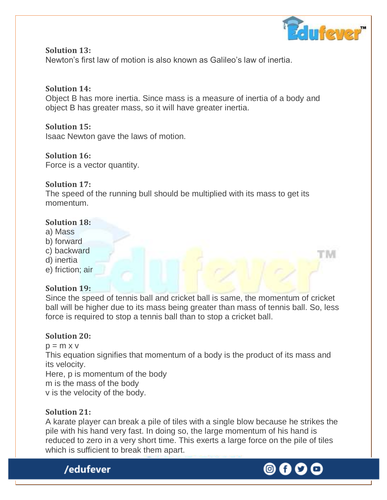

'IM

**Solution 13:** Newton's first law of motion is also known as Galileo's law of inertia.

## **Solution 14:**

Object B has more inertia. Since mass is a measure of inertia of a body and object B has greater mass, so it will have greater inertia.

## **Solution 15:**

Isaac Newton gave the laws of motion.

## **Solution 16:**

Force is a vector quantity.

## **Solution 17:**

The speed of the running bull should be multiplied with its mass to get its momentum.

## **Solution 18:**

- a) Mass
- b) forward
- c) backward
- d) inertia
- e) friction; air

## **Solution 19:**

Since the speed of tennis ball and cricket ball is same, the momentum of cricket ball will be higher due to its mass being greater than mass of tennis ball. So, less force is required to stop a tennis ball than to stop a cricket ball.

## **Solution 20:**

 $p = m \times v$ 

This equation signifies that momentum of a body is the product of its mass and its velocity.

Here, p is momentum of the body

m is the mass of the body

v is the velocity of the body.

## **Solution 21:**

A karate player can break a pile of tiles with a single blow because he strikes the pile with his hand very fast. In doing so, the large momentum of his hand is reduced to zero in a very short time. This exerts a large force on the pile of tiles which is sufficient to break them apart.



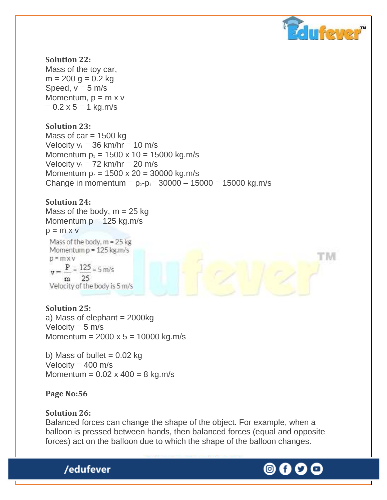

M

#### **Solution 22:**

Mass of the toy car,  $m = 200$  g = 0.2 kg Speed,  $v = 5$  m/s Momentum,  $p = m x v$  $= 0.2 \times 5 = 1 \text{ kg.m/s}$ 

## **Solution 23:**

Mass of  $car = 1500$  kg Velocity  $v_1 = 36$  km/hr = 10 m/s Momentum  $p_1 = 1500 \times 10 = 15000$  kg.m/s Velocity  $v_2 = 72$  km/hr = 20 m/s Momentum  $p_2 = 1500 \times 20 = 30000$  kg.m/s Change in momentum =  $p_2-p_1= 30000 - 15000 = 15000$  kg.m/s

## **Solution 24:**

Mass of the body,  $m = 25$  kg Momentum  $p = 125$  kg.m/s

 $p = m \times v$ 



## **Solution 25:**

a) Mass of elephant  $= 2000kg$ Velocity =  $5 \text{ m/s}$ Momentum =  $2000 \times 5 = 10000$  kg.m/s

b) Mass of bullet  $= 0.02$  kg Velocity =  $400 \text{ m/s}$ Momentum =  $0.02 \times 400 = 8$  kg.m/s

## **Page No:56**

#### **Solution 26:**

/edufever

Balanced forces can change the shape of the object. For example, when a balloon is pressed between hands, then balanced forces (equal and opposite forces) act on the balloon due to which the shape of the balloon changes.

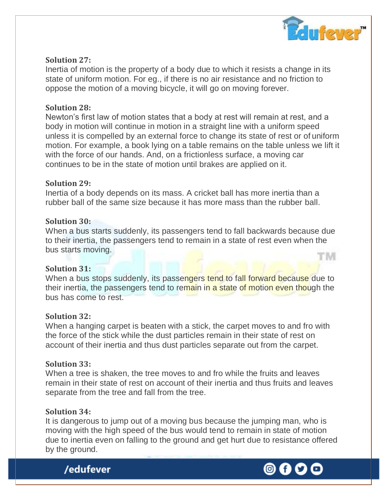

## **Solution 27:**

Inertia of motion is the property of a body due to which it resists a change in its state of uniform motion. For eg., if there is no air resistance and no friction to oppose the motion of a moving bicycle, it will go on moving forever.

## **Solution 28:**

Newton's first law of motion states that a body at rest will remain at rest, and a body in motion will continue in motion in a straight line with a uniform speed unless it is compelled by an external force to change its state of rest or of uniform motion. For example, a book lying on a table remains on the table unless we lift it with the force of our hands. And, on a frictionless surface, a moving car continues to be in the state of motion until brakes are applied on it.

## **Solution 29:**

Inertia of a body depends on its mass. A cricket ball has more inertia than a rubber ball of the same size because it has more mass than the rubber ball.

## **Solution 30:**

When a bus starts suddenly, its passengers tend to fall backwards because due to their inertia, the passengers tend to remain in a state of rest even when the bus starts moving. it imi

#### **Solution 31:**

When a bus stops suddenly, its passengers tend to fall forward because due to their inertia, the passengers tend to remain in a state of motion even though the bus has come to rest.

#### **Solution 32:**

When a hanging carpet is beaten with a stick, the carpet moves to and fro with the force of the stick while the dust particles remain in their state of rest on account of their inertia and thus dust particles separate out from the carpet.

## **Solution 33:**

When a tree is shaken, the tree moves to and fro while the fruits and leaves remain in their state of rest on account of their inertia and thus fruits and leaves separate from the tree and fall from the tree.

## **Solution 34:**

It is dangerous to jump out of a moving bus because the jumping man, who is moving with the high speed of the bus would tend to remain in state of motion due to inertia even on falling to the ground and get hurt due to resistance offered by the ground.

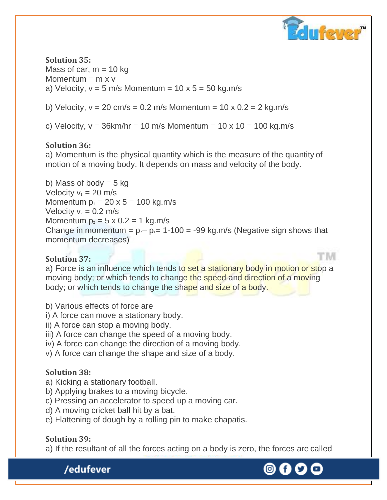

'N

**Solution 35:** Mass of car,  $m = 10$  kg Momentum  $=$  m x v a) Velocity,  $v = 5$  m/s Momentum =  $10 \times 5 = 50$  kg.m/s

b) Velocity,  $v = 20$  cm/s = 0.2 m/s Momentum = 10 x 0.2 = 2 kg.m/s

c) Velocity,  $v = 36$ km/hr = 10 m/s Momentum = 10 x 10 = 100 kg.m/s

## **Solution 36:**

a) Momentum is the physical quantity which is the measure of the quantity of motion of a moving body. It depends on mass and velocity of the body.

b) Mass of body  $= 5$  kg Velocity  $v_1 = 20$  m/s Momentum  $p_1 = 20 \times 5 = 100$  kg.m/s Velocity  $v_2 = 0.2$  m/s Momentum  $p_2 = 5 \times 0.2 = 1$  kg.m/s Change in momentum =  $p_2 - p_1 = 1-100 = -99$  kg.m/s (Negative sign shows that momentum decreases)

## **Solution 37:**

a) Force is an influence which tends to set a stationary body in motion or stop a moving body; or which tends to change the speed and direction of a moving body; or which tends to change the shape and size of a body.

- b) Various effects of force are
- i) A force can move a stationary body.
- ii) A force can stop a moving body.
- iii) A force can change the speed of a moving body.
- iv) A force can change the direction of a moving body.
- v) A force can change the shape and size of a body.

## **Solution 38:**

- a) Kicking a stationary football.
- b) Applying brakes to a moving bicycle.
- c) Pressing an accelerator to speed up a moving car.
- d) A moving cricket ball hit by a bat.
- e) Flattening of dough by a rolling pin to make chapatis.

## **Solution 39:**

/edufever

a) If the resultant of all the forces acting on a body is zero, the forces are called



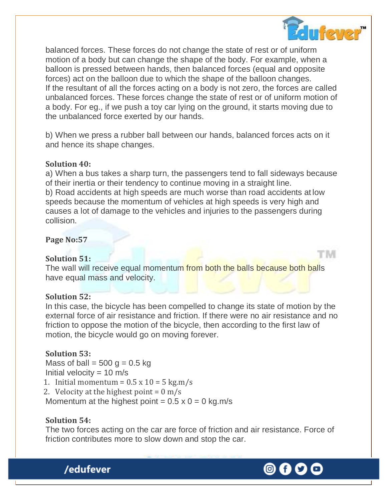

l' IVII

balanced forces. These forces do not change the state of rest or of uniform motion of a body but can change the shape of the body. For example, when a balloon is pressed between hands, then balanced forces (equal and opposite forces) act on the balloon due to which the shape of the balloon changes. If the resultant of all the forces acting on a body is not zero, the forces are called unbalanced forces. These forces change the state of rest or of uniform motion of a body. For eg., if we push a toy car lying on the ground, it starts moving due to the unbalanced force exerted by our hands.

b) When we press a rubber ball between our hands, balanced forces acts on it and hence its shape changes.

## **Solution 40:**

a) When a bus takes a sharp turn, the passengers tend to fall sideways because of their inertia or their tendency to continue moving in a straight line. b) Road accidents at high speeds are much worse than road accidents at low speeds because the momentum of vehicles at high speeds is very high and causes a lot of damage to the vehicles and injuries to the passengers during collision.

#### **Page No:57**

## **Solution 51:**

The wall will receive equal momentum from both the balls because both balls have equal mass and velocity.

#### **Solution 52:**

In this case, the bicycle has been compelled to change its state of motion by the external force of air resistance and friction. If there were no air resistance and no friction to oppose the motion of the bicycle, then according to the first law of motion, the bicycle would go on moving forever.

#### **Solution 53:**

Mass of ball =  $500$  g = 0.5 kg Initial velocity =  $10 \text{ m/s}$ 1. Initial momentum =  $0.5 \times 10 = 5 \text{ kg.m/s}$ 2. Velocity at the highest point =  $0 \text{ m/s}$ Momentum at the highest point =  $0.5 \times 0 = 0$  kg.m/s

## **Solution 54:**

The two forces acting on the car are force of friction and air resistance. Force of friction contributes more to slow down and stop the car.



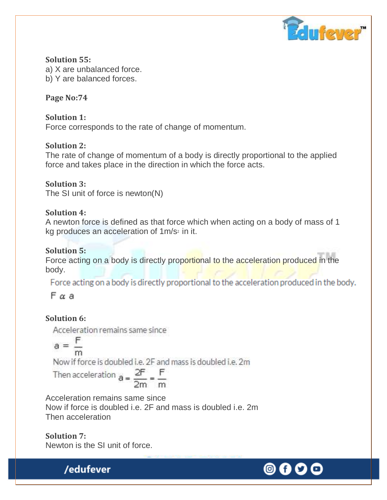

**Solution 55:** a) X are unbalanced force. b) Y are balanced forces.

## **Page No:74**

**Solution 1:** Force corresponds to the rate of change of momentum.

## **Solution 2:**

The rate of change of momentum of a body is directly proportional to the applied force and takes place in the direction in which the force acts.

**Solution 3:** The SI unit of force is newton(N)

## **Solution 4:**

A newton force is defined as that force which when acting on a body of mass of 1 kg produces an acceleration of 1m/s<sup>2</sup> in it.

## **Solution 5:**

Force acting on a body is directly proportional to the acceleration produced in the body.

Force acting on a body is directly proportional to the acceleration produced in the body.

Fαa

## **Solution 6:**

Acceleration remains same since

$$
a = \frac{F}{m}
$$

Now if force is doubled i.e. 2F and mass is doubled i.e. 2m

Then acceleration 
$$
a = \frac{2F}{2m} = \frac{F}{m}
$$

Acceleration remains same since Now if force is doubled i.e. 2F and mass is doubled i.e. 2m Then acceleration

**Solution 7:** Newton is the SI unit of force.

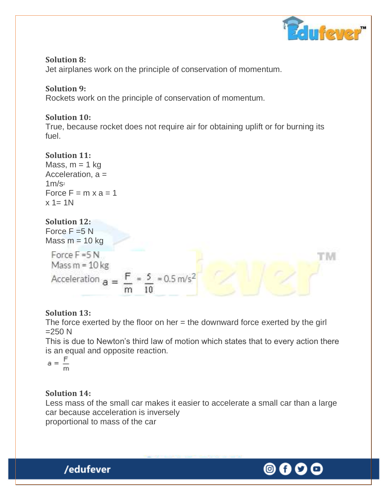

M

## **Solution 8:**

Jet airplanes work on the principle of conservation of momentum.

## **Solution 9:**

Rockets work on the principle of conservation of momentum.

## **Solution 10:**

True, because rocket does not require air for obtaining uplift or for burning its fuel.

## **Solution 11:**

Mass,  $m = 1$  kg Acceleration, a =  $1m/s<sub>2</sub>$ Force  $F = m \times a = 1$  $x = 1N$ 

## **Solution 12:**

Force  $F = 5 N$ Mass  $m = 10$  kg

Force  $F = 5N$ Mass  $m = 10$  kg Acceleration  $a = \frac{F}{m} = \frac{5}{10} = 0.5 \text{ m/s}^2$ 

## **Solution 13:**

The force exerted by the floor on her  $=$  the downward force exerted by the girl  $=250 N$ 

This is due to Newton's third law of motion which states that to every action there is an equal and opposite reaction.

$$
a = \frac{F}{m}
$$

## **Solution 14:**

Less mass of the small car makes it easier to accelerate a small car than a large car because acceleration is inversely proportional to mass of the car



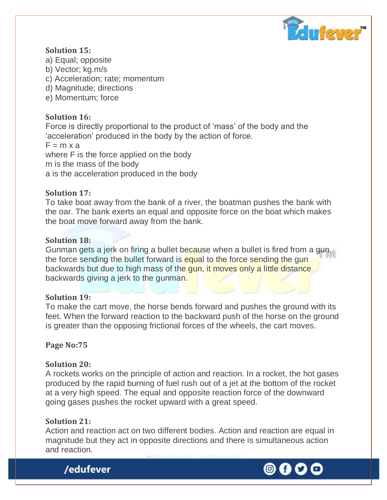

## **Solution 15:**

- a) Equal; opposite
- b) Vector; kg.m/s
- c) Acceleration; rate; momentum
- d) Magnitude; directions
- e) Momentum; force

## **Solution 16:**

Force is directly proportional to the product of 'mass' of the body and the 'acceleration' produced in the body by the action of force.

 $F = m \times a$ 

where F is the force applied on the body m is the mass of the body a is the acceleration produced in the body

## **Solution 17:**

To take boat away from the bank of a river, the boatman pushes the bank with the oar. The bank exerts an equal and opposite force on the boat which makes the boat move forward away from the bank.

## **Solution 18:**

Gunman gets a jerk on firing a bullet because when a bullet is fired from a gun, the force sending the bullet forward is equal to the force sending the gun backwards but due to high mass of the gun, it moves only a little distance backwards giving a jerk to the gunman.

## **Solution 19:**

To make the cart move, the horse bends forward and pushes the ground with its feet. When the forward reaction to the backward push of the horse on the ground is greater than the opposing frictional forces of the wheels, the cart moves.

**Page No:75** 

## **Solution 20:**

A rockets works on the principle of action and reaction. In a rocket, the hot gases produced by the rapid burning of fuel rush out of a jet at the bottom of the rocket at a very high speed. The equal and opposite reaction force of the downward going gases pushes the rocket upward with a great speed.

## **Solution 21:**

Action and reaction act on two different bodies. Action and reaction are equal in magnitude but they act in opposite directions and there is simultaneous action and reaction.



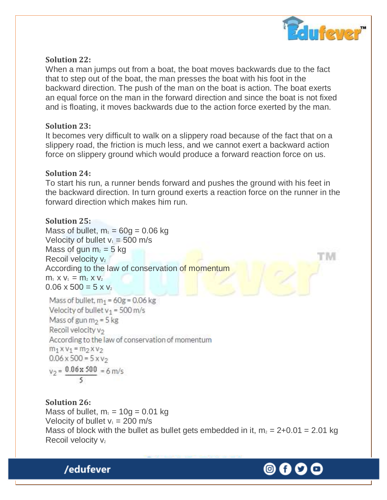

## **Solution 22:**

When a man jumps out from a boat, the boat moves backwards due to the fact that to step out of the boat, the man presses the boat with his foot in the backward direction. The push of the man on the boat is action. The boat exerts an equal force on the man in the forward direction and since the boat is not fixed and is floating, it moves backwards due to the action force exerted by the man.

## **Solution 23:**

It becomes very difficult to walk on a slippery road because of the fact that on a slippery road, the friction is much less, and we cannot exert a backward action force on slippery ground which would produce a forward reaction force on us.

## **Solution 24:**

To start his run, a runner bends forward and pushes the ground with his feet in the backward direction. In turn ground exerts a reaction force on the runner in the forward direction which makes him run.

## **Solution 25:**

Mass of bullet,  $m_1 = 60q = 0.06$  kg Velocity of bullet  $v_1 = 500$  m/s Mass of gun  $m_2 = 5$  kg Recoil velocity  $v_2$ According to the law of conservation of momentum  $m_1$  x  $v_1 = m_2$  x  $v_2$  $0.06 \times 500 = 5 \times v_2$ 

Mass of bullet,  $m_1$  = 60g = 0.06 kg Velocity of bullet  $v_1 = 500$  m/s Mass of gun  $m_2 = 5$  kg Recoil velocity v<sub>2</sub> According to the law of conservation of momentum  $m_1$  x  $v_1$  =  $m_2$  x  $v_2$  $0.06 \times 500 = 5 \times v_2$  $v_2 = \frac{0.06 \times 500}{5} = 6$  m/s

**Solution 26:** Mass of bullet,  $m_1 = 10q = 0.01$  kg Velocity of bullet  $v_1 = 200$  m/s Mass of block with the bullet as bullet gets embedded in it,  $m_2 = 2+0.01 = 2.01$  kg Recoil velocity  $v_2$ 

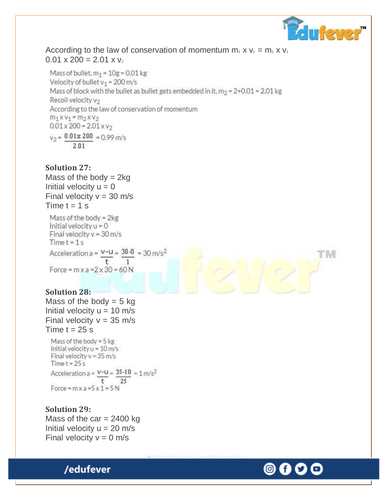

t ivi

According to the law of conservation of momentum  $m_1$  x  $v_1 = m_2$  x  $v_2$  $0.01 \times 200 = 2.01 \times v_2$ 

Mass of bullet,  $m_1 = 10g = 0.01$  kg Velocity of bullet  $v_1 = 200$  m/s Mass of block with the bullet as bullet gets embedded in it,  $m_2 = 2+0.01 = 2.01$  kg Recoil velocity v<sub>2</sub> According to the law of conservation of momentum  $m_1$  x  $v_1$  =  $m_2$  x  $v_2$  $0.01 \times 200 = 2.01 \times v_2$  $v_2 = 0.01x 200 = 0.99$  m/s  $2.01$ 

#### **Solution 27:**

Mass of the body  $= 2kq$ Initial velocity  $u = 0$ Final velocity  $v = 30$  m/s Time  $t = 1$  s

Mass of the body =  $2kg$ Initial velocity  $u = 0$ Final velocity  $v = 30$  m/s  $Time t = 1 s$ Acceleration a =  $\frac{v-u}{t} = \frac{30-0}{1} = 30 \text{ m/s}^2$ Force =  $mxa = 2x30 = 60N$ 

#### **Solution 28:**

Mass of the body  $= 5$  kg Initial velocity  $u = 10$  m/s Final velocity  $v = 35$  m/s Time  $t = 25$  s

Mass of the body =  $5$  kg Initial velocity u = 10 m/s Final velocity  $v = 35$  m/s Time  $t = 25s$ Acceleration a =  $V - U = 35 - 10 = 1$  m/s<sup>2</sup> t. 25 Force =  $mxa = 5x1 = 5N$ 

#### **Solution 29:**

Mass of the car  $= 2400$  kg Initial velocity  $u = 20$  m/s Final velocity  $v = 0$  m/s

/edufever

© f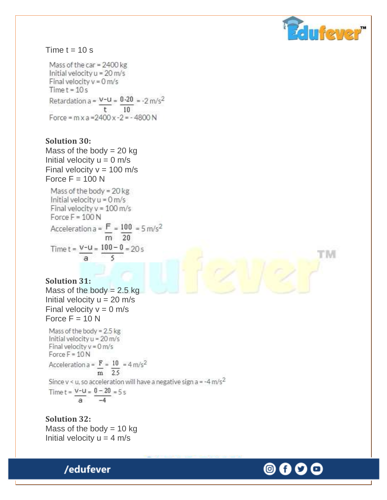

t' M

#### Time  $t = 10$  s

Mass of the car =  $2400$  kg Initial velocity u = 20 m/s Final velocity  $v = 0$  m/s  $Time t = 10s$ Retardation a =  $\frac{V-U}{t} = \frac{0.20}{10} = -2 \text{ m/s}^2$ Force =  $m \times a = 2400 \times -2 = -4800 N$ 

## **Solution 30:**

Mass of the body  $= 20$  kg Initial velocity  $u = 0$  m/s Final velocity  $v = 100$  m/s Force  $F = 100 N$ 

Mass of the body =  $20$  kg Initial velocity  $u = 0$  m/s Final velocity  $v = 100$  m/s Force  $F = 100 N$ Acceleration a =  $\frac{F}{m}$  =  $\frac{100}{m}$  = 5 m/s<sup>2</sup>  $\overline{m}$  20 Time  $t = \frac{V - U}{a} = \frac{100 - 0}{5} = 20 s$ 

#### **Solution 31:**

Mass of the body  $= 2.5$  kg Initial velocity  $u = 20$  m/s Final velocity  $v = 0$  m/s Force  $F = 10 N$ 

Mass of the body =  $2.5$  kg Initial velocity u = 20 m/s Final velocity  $v = 0$  m/s Force  $F = 10N$ Acceleration a =  $\frac{F}{m} = \frac{10}{2.5}$  = 4 m/s<sup>2</sup> Since y < u, so acceleration will have a negative sign a = -4 m/s<sup>2</sup> Time  $t = \frac{V - U}{a} = \frac{0 - 20}{-4} = 5 s$ 

**Solution 32:** Mass of the body  $= 10$  kg Initial velocity  $u = 4$  m/s



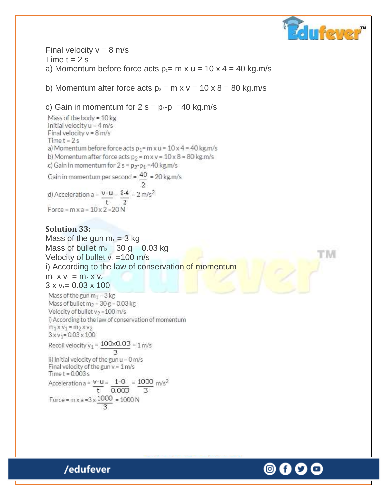

Final velocity  $v = 8$  m/s Time  $t = 2$  s a) Momentum before force acts  $p_1 = m \times u = 10 \times 4 = 40$  kg.m/s

b) Momentum after force acts  $p_2 = m \times v = 10 \times 8 = 80$  kg.m/s

#### c) Gain in momentum for  $2 s = p_2-p_1 = 40$  kg.m/s

Mass of the body = 10 kg Initial velocity  $u = 4$  m/s Final velocity  $v = 8$  m/s  $Time t = 2s$ a) Momentum before force acts  $p_1 = m \times u = 10 \times 4 = 40$  kg.m/s b) Momentum after force acts  $p_2 = mxv = 10 \times 8 = 80$  kg.m/s c) Gain in momentum for  $2 s = p_2-p_1 = 40 kg.m/s$ Gain in momentum per second =  $\frac{40}{2}$  = 20 kg.m/s d) Acceleration a =  $\frac{v-u}{t} = \frac{8.4}{2} = 2 \text{ m/s}^2$ Force =  $mx a = 10x 2 = 20N$ 

#### **Solution 33:**

Mass of the gun  $m_1 = 3$  kg Mass of bullet  $m_2 = 30$  g = 0.03 kg Velocity of bullet  $v_2 = 100$  m/s i) According to the law of conservation of momentum  $m_1$  x  $v_1 = m_2$  x  $v_2$  $3 \times v_1 = 0.03 \times 100$ Mass of the gun  $m_1 = 3$  kg Mass of bullet  $m_2$  = 30 g = 0.03 kg Velocity of bullet  $v_2 = 100$  m/s i) According to the law of conservation of momentum  $m_1 x v_1 = m_2 x v_2$  $3 \times v_1 = 0.03 \times 100$ Recoil velocity  $v_1 = \frac{100 \times 0.03}{0.03} = 1$  m/s ii) Initial velocity of the gun u = 0 m/s Final velocity of the gun  $v = 1$  m/s Time  $t = 0.003$  s Acceleration a =  $\frac{v-u}{t} = \frac{1-0}{0.003} = \frac{1000}{3}$  m/s<sup>2</sup> Force = m x a =  $3 \times \frac{1000}{2}$  = 1000 N

'N

0)

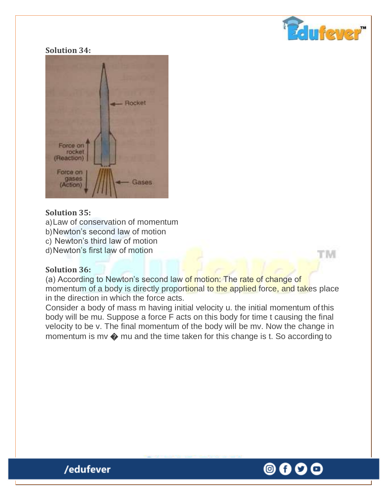

t'ivi

#### **Solution 34:**



## **Solution 35:**

- a)Law of conservation of momentum
- b)Newton's second law of motion
- c) Newton's third law of motion
- d)Newton's first law of motion

## **Solution 36:**

(a) According to Newton's second law of motion: The rate of change of momentum of a body is directly proportional to the applied force, and takes place in the direction in which the force acts.

Consider a body of mass m having initial velocity u. the initial momentum of this body will be mu. Suppose a force F acts on this body for time t causing the final velocity to be v. The final momentum of the body will be mv. Now the change in momentum is mv � mu and the time taken for this change is t. So according to

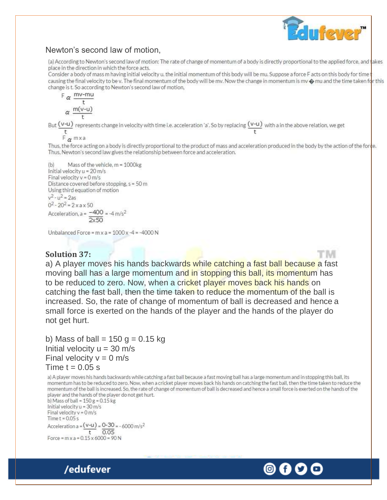

## Newton's second law of motion,

(a) According to Newton's second law of motion: The rate of change of momentum of a body is directly proportional to the applied force, and takes place in the direction in which the force acts.

Consider a body of mass m having initial velocity u, the initial momentum of this body will be mu. Suppose a force F acts on this body for time causing the final velocity to be v. The final momentum of the body will be mv. Now the change in momentum is mv  $\odot$  mu and the time taken for this change is t. So according to Newton's second law of motion,

 $F \propto \frac{mv-mu}{m}$  $\alpha \frac{m(v-u)}{h}$ 

But  $\frac{(v-u)}{t}$  represents change in velocity with time i.e. acceleration 'a'. So by replacing  $\frac{(v-u)}{t}$  with a in the above relation, we get

 $F_{\alpha}$  m x a

Thus, the force acting on a body is directly proportional to the product of mass and acceleration produced in the body by the action of the force. Thus, Newton's second law gives the relationship between force and acceleration.

```
(b)Mass of the vehicle, m = 1000kg
Initial velocity u = 20 m/s
Final velocity v = 0 m/s
Distance covered before stopping, s = 50 m
Using third equation of motion
v^2 - u^2 = 2as0^2 - 20^2 = 2 \times a \times 50Acceleration, a = -400 = -4 m/s<sup>2</sup>
```
Unbalanced Force =  $m \times a = 1000 \times -4 = -4000 N$ 

#### **Solution 37:**

a) A player moves his hands backwards while catching a fast ball because a fast moving ball has a large momentum and in stopping this ball, its momentum has to be reduced to zero. Now, when a cricket player moves back his hands on catching the fast ball, then the time taken to reduce the momentum of the ball is increased. So, the rate of change of momentum of ball is decreased and hence a small force is exerted on the hands of the player and the hands of the player do not get hurt.

b) Mass of ball =  $150$  g = 0.15 kg Initial velocity  $u = 30$  m/s Final velocity  $v = 0$  m/s Time  $t = 0.05$  s

a) A player moves his hands backwards while catching a fast ball because a fast moving ball has a large momentum and in stopping this ball, its momentum has to be reduced to zero. Now, when a cricket player moves back his hands on catching the fast ball, then the time taken to reduce the momentum of the ball is increased. So, the rate of change of momentum of ball is decreased and hence a small force is exerted on the hands of the player and the hands of the player do not get hurt.

b) Mass of ball =  $150 g = 0.15 kg$ Initial velocity u = 30 m/s Final velocity  $v = 0$  m/s Time  $t = 0.05$  s Acceleration a =  $(v-u)$  =  $0-30$  =  $-6000$  m/s<sup>2</sup>  $0.05$ t. Force =  $m \times a = 0.15 \times 6000 = 90 N$ 



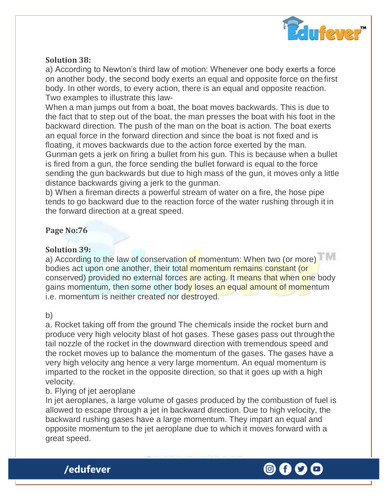

## **Solution 38:**

a) According to Newton's third law of motion: Whenever one body exerts a force on another body, the second body exerts an equal and opposite force on the first body. In other words, to every action, there is an equal and opposite reaction. Two examples to illustrate this law-

When a man jumps out from a boat, the boat moves backwards. This is due to the fact that to step out of the boat, the man presses the boat with his foot in the backward direction. The push of the man on the boat is action. The boat exerts an equal force in the forward direction and since the boat is not fixed and is floating, it moves backwards due to the action force exerted by the man. Gunman gets a jerk on firing a bullet from his gun. This is because when a bullet is fired from a gun, the force sending the bullet forward is equal to the force sending the gun backwards but due to high mass of the gun, it moves only a little distance backwards giving a jerk to the gunman.

b) When a fireman directs a powerful stream of water on a fire, the hose pipe tends to go backward due to the reaction force of the water rushing through it in the forward direction at a great speed.

## **Page No:76**

## **Solution 39:**

a) According to the law of conservation of momentum: When two (or more) bodies act upon one another, their total momentum remains constant (or conserved) provided no external forces are acting. It means that when one body gains momentum, then some other body loses an equal amount of momentum i.e. momentum is neither created nor destroyed.

#### b)

a. Rocket taking off from the ground The chemicals inside the rocket burn and produce very high velocity blast of hot gases. These gases pass out through the tail nozzle of the rocket in the downward direction with tremendous speed and the rocket moves up to balance the momentum of the gases. The gases have a very high velocity ang hence a very large momentum. An equal momentum is imparted to the rocket in the opposite direction, so that it goes up with a high velocity.

## b. Flying of jet aeroplane

/edufever

In jet aeroplanes, a large volume of gases produced by the combustion of fuel is allowed to escape through a jet in backward direction. Due to high velocity, the backward rushing gases have a large momentum. They impart an equal and opposite momentum to the jet aeroplane due to which it moves forward with a great speed.

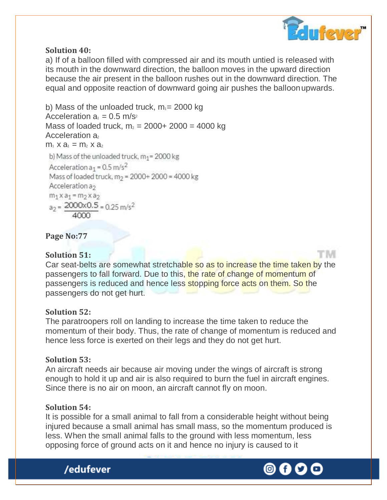

t ivi

## **Solution 40:**

a) If of a balloon filled with compressed air and its mouth untied is released with its mouth in the downward direction, the balloon moves in the upward direction because the air present in the balloon rushes out in the downward direction. The equal and opposite reaction of downward going air pushes the balloonupwards.

b) Mass of the unloaded truck,  $m_1$ = 2000 kg Acceleration  $a_1 = 0.5$  m/s<sup>2</sup> Mass of loaded truck,  $m_2 = 2000 + 2000 = 4000$  kg Acceleration a<sub>2</sub>  $m_1$  x  $a_1 = m_2$  x  $a_2$ b) Mass of the unloaded truck,  $m_1$  = 2000 kg Acceleration a<sub>1</sub> =  $0.5 \text{ m/s}^2$ Mass of loaded truck, m<sub>2</sub> = 2000+ 2000 = 4000 kg Acceleration a<sub>2</sub>  $m_1$  x a<sub>1</sub> =  $m_2$  x a<sub>2</sub>  $a_2 = 2000 \times 0.5 = 0.25$  m/s<sup>2</sup>

**Page No:77** 

## **Solution 51:**

Car seat-belts are somewhat stretchable so as to increase the time taken by the passengers to fall forward. Due to this, the rate of change of momentum of passengers is reduced and hence less stopping force acts on them. So the passengers do not get hurt.

## **Solution 52:**

The paratroopers roll on landing to increase the time taken to reduce the momentum of their body. Thus, the rate of change of momentum is reduced and hence less force is exerted on their legs and they do not get hurt.

## **Solution 53:**

An aircraft needs air because air moving under the wings of aircraft is strong enough to hold it up and air is also required to burn the fuel in aircraft engines. Since there is no air on moon, an aircraft cannot fly on moon.

#### **Solution 54:**

It is possible for a small animal to fall from a considerable height without being injured because a small animal has small mass, so the momentum produced is less. When the small animal falls to the ground with less momentum, less opposing force of ground acts on it and hence no injury is caused to it



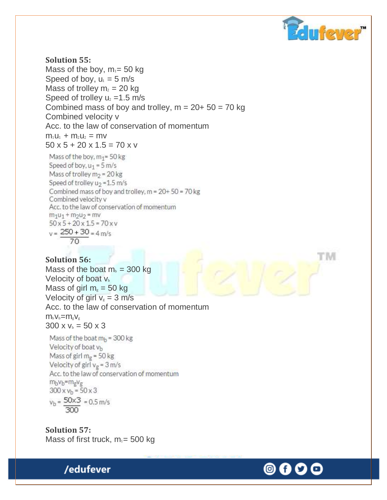

M

## **Solution 55:**

Mass of the boy,  $m_1 = 50$  kg Speed of boy,  $u_1 = 5$  m/s Mass of trolley  $m_2 = 20$  kg Speed of trolley  $u_2 = 1.5$  m/s Combined mass of boy and trolley,  $m = 20 + 50 = 70$  kg Combined velocity v Acc. to the law of conservation of momentum  $m_1u_1 + m_2u_2 = mv$  $50 \times 5 + 20 \times 1.5 = 70 \times v$ 

Mass of the boy, m<sub>1</sub>=50 kg Speed of boy,  $u_1 = 5$  m/s Mass of trolley  $m_2$  = 20 kg Speed of trolley u<sub>2</sub> = 1.5 m/s Combined mass of boy and trolley, m = 20+ 50 = 70 kg Combined velocity v Acc. to the law of conservation of momentum  $m_1u_1 + m_2u_2 = mv$  $50 \times 5 + 20 \times 1.5 = 70 \times v$  $v = 250 + 30 = 4$  m/s  $70$ 

#### **Solution 56:**

Mass of the boat  $m_b = 300$  kg Velocity of boat  $V_b$ Mass of girl  $m<sub>g</sub> = 50$  kg Velocity of girl  $v_g = 3$  m/s Acc. to the law of conservation of momentum  $m_bV_b=m_sV_g$  $300 \times v_b = 50 \times 3$ 

Mass of the boat  $m_h$  = 300 kg Velocity of boat vb Mass of girl  $m_g$  = 50 kg Velocity of girl  $v_{\sigma}$  = 3 m/s Acc. to the law of conservation of momentum mbvb=mgvg  $300 \times v_b = 50 \times 3$  $v_h = 50 \times 3 = 0.5$  m/s 300

**Solution 57:** Mass of first truck,  $m_1 = 500$  kg



 $\circ$  (f)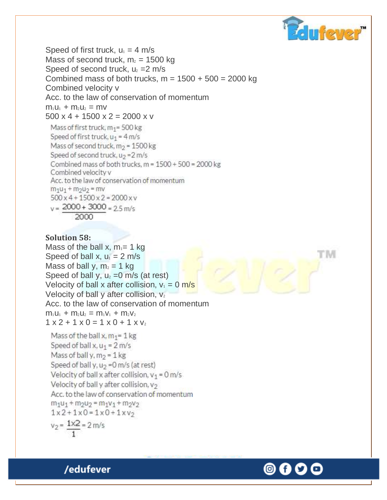

t ivi

Speed of first truck,  $u_1 = 4$  m/s Mass of second truck,  $m<sub>2</sub> = 1500$  kg Speed of second truck,  $u_2 = 2$  m/s Combined mass of both trucks,  $m = 1500 + 500 = 2000$  kg Combined velocity v Acc. to the law of conservation of momentum  $m_1u_1 + m_2u_2 = mv$ 500 x 4 + 1500 x 2 = 2000 x y Mass of first truck,  $m_1$ = 500 kg Speed of first truck,  $u_1 = 4$  m/s Mass of second truck,  $m_2$  = 1500 kg Speed of second truck,  $u_2 = 2$  m/s Combined mass of both trucks, m = 1500 + 500 = 2000 kg Combined velocity y Acc. to the law of conservation of momentum  $m_1u_1 + m_2u_2 = mv$  $500 \times 4 + 1500 \times 2 = 2000 \times v$  $v = 2000 + 3000 = 2.5$  m/s

$$
\sim
$$
 2000

#### **Solution 58:**

Mass of the ball x,  $m_1$ = 1 kg Speed of ball x,  $u_1 = 2$  m/s Mass of ball y,  $m_2 = 1$  kg Speed of ball y,  $u_2 = 0$  m/s (at rest) Velocity of ball x after collision,  $v_1 = 0$  m/s Velocity of ball y after collision,  $v_2$ Acc. to the law of conservation of momentum  $m_1u_1 + m_2u_2 = m_1v_1 + m_2v_2$  $1 x 2 + 1 x 0 = 1 x 0 + 1 x 0$ 

Mass of the ball x,  $m_1 = 1$  kg Speed of ball x,  $u_1 = 2$  m/s Mass of ball y,  $m_2 = 1$  kg Speed of ball y,  $u_2 = 0$  m/s (at rest) Velocity of ball x after collision,  $v_1 = 0$  m/s Velocity of ball y after collision, v2 Acc. to the law of conservation of momentum  $m_1u_1 + m_2u_2 = m_1v_1 + m_2v_2$  $1x2+1x0=1x0+1xv_2$  $v_2 = 1 \times 2 = 2$  m/s

(0) (f)